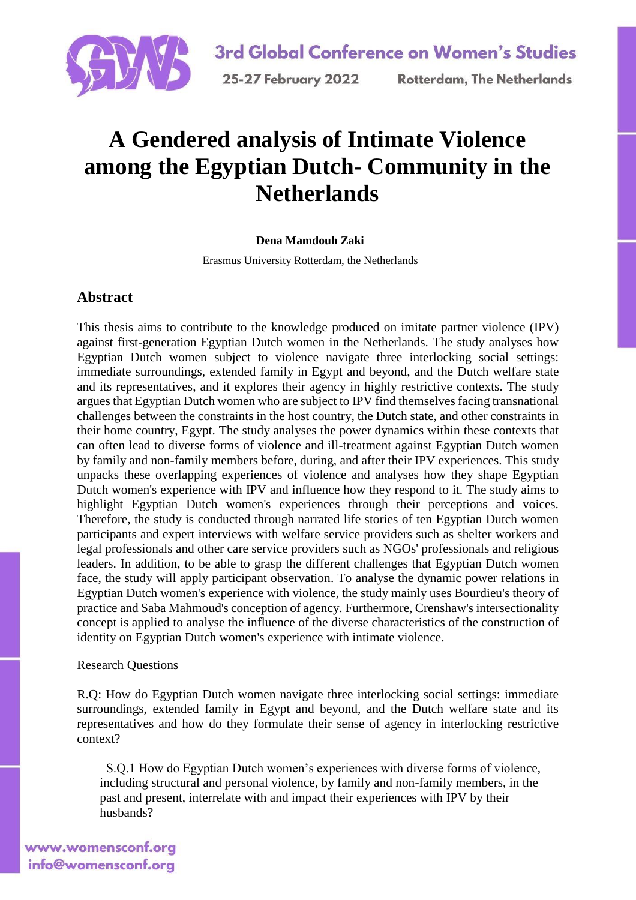

# **A Gendered analysis of Intimate Violence among the Egyptian Dutch- Community in the Netherlands**

### **Dena Mamdouh Zaki**

Erasmus University Rotterdam, the Netherlands

## **Abstract**

This thesis aims to contribute to the knowledge produced on imitate partner violence (IPV) against first-generation Egyptian Dutch women in the Netherlands. The study analyses how Egyptian Dutch women subject to violence navigate three interlocking social settings: immediate surroundings, extended family in Egypt and beyond, and the Dutch welfare state and its representatives, and it explores their agency in highly restrictive contexts. The study argues that Egyptian Dutch women who are subject to IPV find themselves facing transnational challenges between the constraints in the host country, the Dutch state, and other constraints in their home country, Egypt. The study analyses the power dynamics within these contexts that can often lead to diverse forms of violence and ill-treatment against Egyptian Dutch women by family and non-family members before, during, and after their IPV experiences. This study unpacks these overlapping experiences of violence and analyses how they shape Egyptian Dutch women's experience with IPV and influence how they respond to it. The study aims to highlight Egyptian Dutch women's experiences through their perceptions and voices. Therefore, the study is conducted through narrated life stories of ten Egyptian Dutch women participants and expert interviews with welfare service providers such as shelter workers and legal professionals and other care service providers such as NGOs' professionals and religious leaders. In addition, to be able to grasp the different challenges that Egyptian Dutch women face, the study will apply participant observation. To analyse the dynamic power relations in Egyptian Dutch women's experience with violence, the study mainly uses Bourdieu's theory of practice and Saba Mahmoud's conception of agency. Furthermore, Crenshaw's intersectionality concept is applied to analyse the influence of the diverse characteristics of the construction of identity on Egyptian Dutch women's experience with intimate violence.

#### Research Questions

R.Q: How do Egyptian Dutch women navigate three interlocking social settings: immediate surroundings, extended family in Egypt and beyond, and the Dutch welfare state and its representatives and how do they formulate their sense of agency in interlocking restrictive context?

 S.Q.1 How do Egyptian Dutch women's experiences with diverse forms of violence, including structural and personal violence, by family and non-family members, in the past and present, interrelate with and impact their experiences with IPV by their husbands?